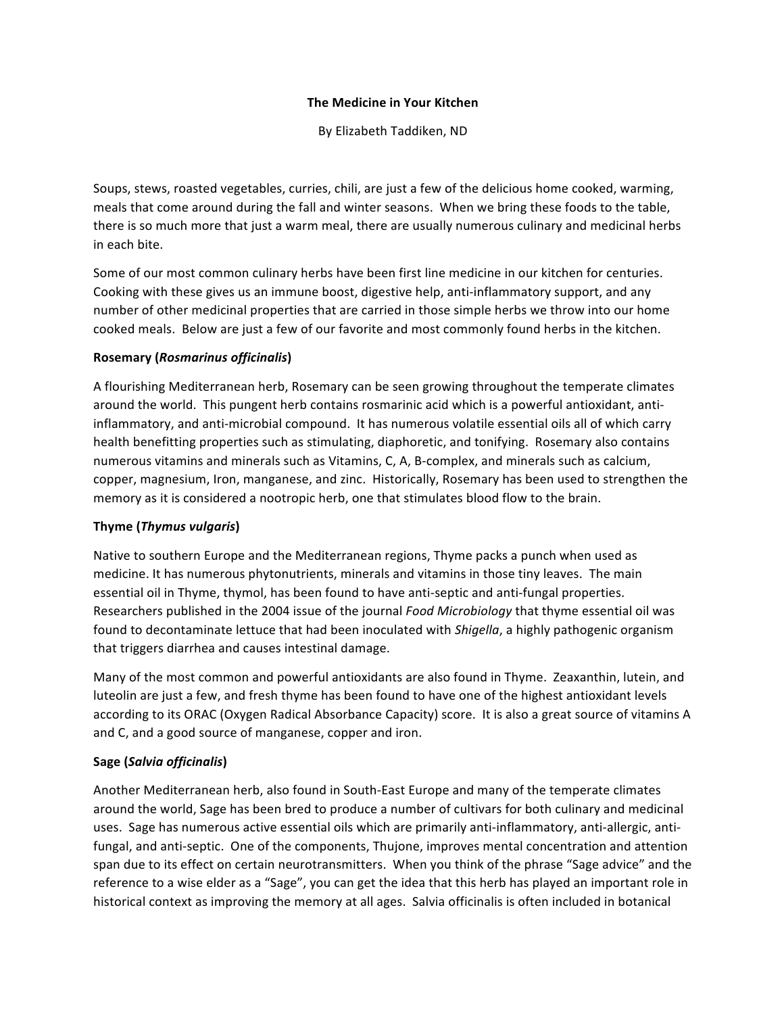### **The Medicine in Your Kitchen**

By Elizabeth Taddiken, ND

Soups, stews, roasted vegetables, curries, chili, are just a few of the delicious home cooked, warming, meals that come around during the fall and winter seasons. When we bring these foods to the table, there is so much more that just a warm meal, there are usually numerous culinary and medicinal herbs in each bite.

Some of our most common culinary herbs have been first line medicine in our kitchen for centuries. Cooking with these gives us an immune boost, digestive help, anti-inflammatory support, and any number of other medicinal properties that are carried in those simple herbs we throw into our home cooked meals. Below are just a few of our favorite and most commonly found herbs in the kitchen.

### **Rosemary (***Rosmarinus officinalis*)

A flourishing Mediterranean herb, Rosemary can be seen growing throughout the temperate climates around the world. This pungent herb contains rosmarinic acid which is a powerful antioxidant, antiinflammatory, and anti-microbial compound. It has numerous volatile essential oils all of which carry health benefitting properties such as stimulating, diaphoretic, and tonifying. Rosemary also contains numerous vitamins and minerals such as Vitamins, C, A, B-complex, and minerals such as calcium, copper, magnesium, Iron, manganese, and zinc. Historically, Rosemary has been used to strengthen the memory as it is considered a nootropic herb, one that stimulates blood flow to the brain.

### **Thyme** (*Thymus* vulgaris)

Native to southern Europe and the Mediterranean regions, Thyme packs a punch when used as medicine. It has numerous phytonutrients, minerals and vitamins in those tiny leaves. The main essential oil in Thyme, thymol, has been found to have anti-septic and anti-fungal properties. Researchers published in the 2004 issue of the journal *Food Microbiology* that thyme essential oil was found to decontaminate lettuce that had been inoculated with *Shigella*, a highly pathogenic organism that triggers diarrhea and causes intestinal damage.

Many of the most common and powerful antioxidants are also found in Thyme. Zeaxanthin, lutein, and luteolin are just a few, and fresh thyme has been found to have one of the highest antioxidant levels according to its ORAC (Oxygen Radical Absorbance Capacity) score. It is also a great source of vitamins A and C, and a good source of manganese, copper and iron.

# **Sage (***Salvia officinalis***)**

Another Mediterranean herb, also found in South-East Europe and many of the temperate climates around the world, Sage has been bred to produce a number of cultivars for both culinary and medicinal uses. Sage has numerous active essential oils which are primarily anti-inflammatory, anti-allergic, antifungal, and anti-septic. One of the components, Thujone, improves mental concentration and attention span due to its effect on certain neurotransmitters. When you think of the phrase "Sage advice" and the reference to a wise elder as a "Sage", you can get the idea that this herb has played an important role in historical context as improving the memory at all ages. Salvia officinalis is often included in botanical